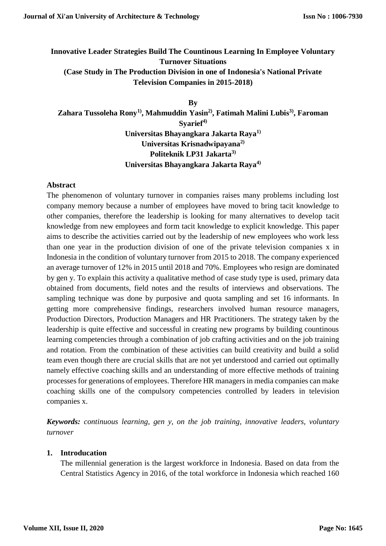**Innovative Leader Strategies Build The Countinous Learning In Employee Voluntary Turnover Situations (Case Study in The Production Division in one of Indonesia's National Private Television Companies in 2015-2018)**

**By Zahara Tussoleha Rony1), Mahmuddin Yasin2), Fatimah Malini Lubis3) , Faroman Syarief4) Universitas Bhayangkara Jakarta Raya1) Universitas Krisnadwipayana2) Politeknik LP31 Jakarta3) Universitas Bhayangkara Jakarta Raya4)**

#### **Abstract**

The phenomenon of voluntary turnover in companies raises many problems including lost company memory because a number of employees have moved to bring tacit knowledge to other companies, therefore the leadership is looking for many alternatives to develop tacit knowledge from new employees and form tacit knowledge to explicit knowledge. This paper aims to describe the activities carried out by the leadership of new employees who work less than one year in the production division of one of the private television companies x in Indonesia in the condition of voluntary turnover from 2015 to 2018. The company experienced an average turnover of 12% in 2015 until 2018 and 70%. Employees who resign are dominated by gen y. To explain this activity a qualitative method of case study type is used, primary data obtained from documents, field notes and the results of interviews and observations. The sampling technique was done by purposive and quota sampling and set 16 informants. In getting more comprehensive findings, researchers involved human resource managers, Production Directors, Production Managers and HR Practitioners. The strategy taken by the leadership is quite effective and successful in creating new programs by building countinous learning competencies through a combination of job crafting activities and on the job training and rotation. From the combination of these activities can build creativity and build a solid team even though there are crucial skills that are not yet understood and carried out optimally namely effective coaching skills and an understanding of more effective methods of training processes for generations of employees. Therefore HR managers in media companies can make coaching skills one of the compulsory competencies controlled by leaders in television companies x.

*Keywords: continuous learning, gen y, on the job training, innovative leaders, voluntary turnover*

# **1. Introducation**

The millennial generation is the largest workforce in Indonesia. Based on data from the Central Statistics Agency in 2016, of the total workforce in Indonesia which reached 160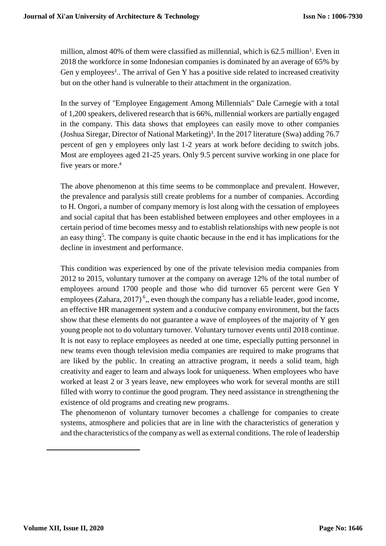million, almost 40% of them were classified as millennial, which is 62.5 million<sup>1</sup>. Even in 2018 the workforce in some Indonesian companies is dominated by an average of 65% by Gen y employees<sup>2</sup>.. The arrival of Gen Y has a positive side related to increased creativity but on the other hand is vulnerable to their attachment in the organization.

In the survey of "Employee Engagement Among Millennials" Dale Carnegie with a total of 1,200 speakers, delivered research that is 66%, millennial workers are partially engaged in the company. This data shows that employees can easily move to other companies (Joshua Siregar, Director of National Marketing)<sup>3</sup>. In the 2017 literature (Swa) adding 76.7 percent of gen y employees only last 1-2 years at work before deciding to switch jobs. Most are employees aged 21-25 years. Only 9.5 percent survive working in one place for five years or more. 4

The above phenomenon at this time seems to be commonplace and prevalent. However, the prevalence and paralysis still create problems for a number of companies. According to H. Ongori, a number of company memory is lost along with the cessation of employees and social capital that has been established between employees and other employees in a certain period of time becomes messy and to establish relationships with new people is not an easy thing<sup>5</sup>. The company is quite chaotic because in the end it has implications for the decline in investment and performance.

This condition was experienced by one of the private television media companies from 2012 to 2015, voluntary turnover at the company on average 12% of the total number of employees around 1700 people and those who did turnover 65 percent were Gen Y employees (Zahara, 2017)<sup>6</sup>,, even though the company has a reliable leader, good income, an effective HR management system and a conducive company environment, but the facts show that these elements do not guarantee a wave of employees of the majority of Y gen young people not to do voluntary turnover. Voluntary turnover events until 2018 continue. It is not easy to replace employees as needed at one time, especially putting personnel in new teams even though television media companies are required to make programs that are liked by the public. In creating an attractive program, it needs a solid team, high creativity and eager to learn and always look for uniqueness. When employees who have worked at least 2 or 3 years leave, new employees who work for several months are still filled with worry to continue the good program. They need assistance in strengthening the existence of old programs and creating new programs.

The phenomenon of voluntary turnover becomes a challenge for companies to create systems, atmosphere and policies that are in line with the characteristics of generation y and the characteristics of the company as well as external conditions. The role of leadership

1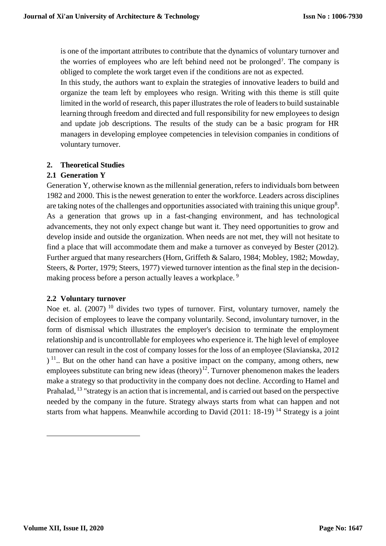is one of the important attributes to contribute that the dynamics of voluntary turnover and the worries of employees who are left behind need not be prolonged<sup>7</sup>. The company is obliged to complete the work target even if the conditions are not as expected.

In this study, the authors want to explain the strategies of innovative leaders to build and organize the team left by employees who resign. Writing with this theme is still quite limited in the world of research, this paper illustrates the role of leaders to build sustainable learning through freedom and directed and full responsibility for new employees to design and update job descriptions. The results of the study can be a basic program for HR managers in developing employee competencies in television companies in conditions of voluntary turnover.

### **2. Theoretical Studies**

### **2.1 Generation Y**

Generation Y, otherwise known as the millennial generation, refers to individuals born between 1982 and 2000. This is the newest generation to enter the workforce. Leaders across disciplines are taking notes of the challenges and opportunities associated with training this unique group<sup>8</sup>. As a generation that grows up in a fast-changing environment, and has technological advancements, they not only expect change but want it. They need opportunities to grow and develop inside and outside the organization. When needs are not met, they will not hesitate to find a place that will accommodate them and make a turnover as conveyed by Bester (2012). Further argued that many researchers (Horn, Griffeth & Salaro, 1984; Mobley, 1982; Mowday, Steers, & Porter, 1979; Steers, 1977) viewed turnover intention as the final step in the decisionmaking process before a person actually leaves a workplace.<sup>9</sup>

#### **2.2 Voluntary turnover**

Noe et. al.  $(2007)$  <sup>10</sup> divides two types of turnover. First, voluntary turnover, namely the decision of employees to leave the company voluntarily. Second, involuntary turnover, in the form of dismissal which illustrates the employer's decision to terminate the employment relationship and is uncontrollable for employees who experience it. The high level of employee turnover can result in the cost of company losses for the loss of an employee (Slavianska, 2012  $1<sup>11</sup>$ . But on the other hand can have a positive impact on the company, among others, new employees substitute can bring new ideas (theory)<sup>12</sup>. Turnover phenomenon makes the leaders make a strategy so that productivity in the company does not decline. According to Hamel and Prahalad, <sup>13</sup> "strategy is an action that is incremental, and is carried out based on the perspective needed by the company in the future. Strategy always starts from what can happen and not starts from what happens. Meanwhile according to David  $(2011: 18-19)^{14}$  Strategy is a joint

.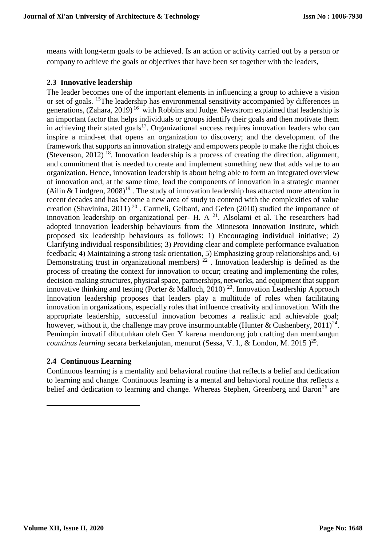means with long-term goals to be achieved. Is an action or activity carried out by a person or company to achieve the goals or objectives that have been set together with the leaders,

## **2.3 Innovative leadership**

The leader becomes one of the important elements in influencing a group to achieve a vision or set of goals. <sup>15</sup>The leadership has environmental sensitivity accompanied by differences in generations, (Zahara, 2019)<sup>16</sup> with Robbins and Judge. Newstrom explained that leadership is an important factor that helps individuals or groups identify their goals and then motivate them in achieving their stated goals<sup>17</sup>. Organizational success requires innovation leaders who can inspire a mind-set that opens an organization to discovery; and the development of the framework that supports an innovation strategy and empowers people to make the right choices (Stevenson, 2012) <sup>18</sup>. Innovation leadership is a process of creating the direction, alignment, and commitment that is needed to create and implement something new that adds value to an organization. Hence, innovation leadership is about being able to form an integrated overview of innovation and, at the same time, lead the components of innovation in a strategic manner (Ailin & Lindgren,  $2008$ )<sup>19</sup>. The study of innovation leadership has attracted more attention in recent decades and has become a new area of study to contend with the complexities of value creation (Shavinina, 2011)<sup>20</sup>. Carmeli, Gelbard, and Gefen (2010) studied the importance of innovation leadership on organizational per- H. A  $^{21}$ . Alsolami et al. The researchers had adopted innovation leadership behaviours from the Minnesota Innovation Institute, which proposed six leadership behaviours as follows: 1) Encouraging individual initiative; 2) Clarifying individual responsibilities; 3) Providing clear and complete performance evaluation feedback; 4) Maintaining a strong task orientation, 5) Emphasizing group relationships and, 6) Demonstrating trust in organizational members)  $22$ . Innovation leadership is defined as the process of creating the context for innovation to occur; creating and implementing the roles, decision-making structures, physical space, partnerships, networks, and equipment that support innovative thinking and testing (Porter & Malloch, 2010)<sup>23</sup>. Innovation Leadership Approach Innovation leadership proposes that leaders play a multitude of roles when facilitating innovation in organizations, especially roles that influence creativity and innovation. With the appropriate leadership, successful innovation becomes a realistic and achievable goal; however, without it, the challenge may prove insurmountable (Hunter & Cushenbery, 2011)<sup>24</sup>. Pemimpin inovatif dibutuhkan oleh Gen Y karena mendorong job crafting dan membangun *countinus learning* secara berkelanjutan, menurut (Sessa, V. I., & London, M. 2015 ) 25 .

# **2.4 Continuous Learning**

Continuous learning is a mentality and behavioral routine that reflects a belief and dedication to learning and change. Continuous learning is a mental and behavioral routine that reflects a belief and dedication to learning and change. Whereas Stephen, Greenberg and Baron<sup>26</sup> are

1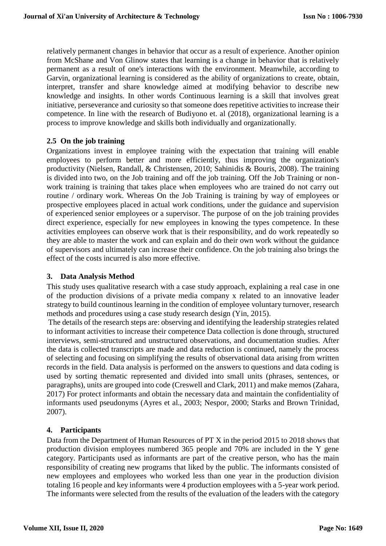relatively permanent changes in behavior that occur as a result of experience. Another opinion from McShane and Von Glinow states that learning is a change in behavior that is relatively permanent as a result of one's interactions with the environment. Meanwhile, according to Garvin, organizational learning is considered as the ability of organizations to create, obtain, interpret, transfer and share knowledge aimed at modifying behavior to describe new knowledge and insights. In other words Continuous learning is a skill that involves great initiative, perseverance and curiosity so that someone does repetitive activities to increase their competence. In line with the research of Budiyono et. al (2018), organizational learning is a process to improve knowledge and skills both individually and organizationally.

# **2.5 On the job training**

Organizations invest in employee training with the expectation that training will enable employees to perform better and more efficiently, thus improving the organization's productivity (Nielsen, Randall, & Christensen, 2010; Sahinidis & Bouris, 2008). The training is divided into two, on the Job training and off the job training. Off the Job Training or nonwork training is training that takes place when employees who are trained do not carry out routine / ordinary work. Whereas On the Job Training is training by way of employees or prospective employees placed in actual work conditions, under the guidance and supervision of experienced senior employees or a supervisor. The purpose of on the job training provides direct experience, especially for new employees in knowing the types competence. In these activities employees can observe work that is their responsibility, and do work repeatedly so they are able to master the work and can explain and do their own work without the guidance of supervisors and ultimately can increase their confidence. On the job training also brings the effect of the costs incurred is also more effective.

### **3. Data Analysis Method**

This study uses qualitative research with a case study approach, explaining a real case in one of the production divisions of a private media company x related to an innovative leader strategy to build countinous learning in the condition of employee voluntary turnover, research methods and procedures using a case study research design (Yin, 2015).

The details of the research steps are: observing and identifying the leadership strategies related to informant activities to increase their competence Data collection is done through, structured interviews, semi-structured and unstructured observations, and documentation studies. After the data is collected transcripts are made and data reduction is continued, namely the process of selecting and focusing on simplifying the results of observational data arising from written records in the field. Data analysis is performed on the answers to questions and data coding is used by sorting thematic represented and divided into small units (phrases, sentences, or paragraphs), units are grouped into code (Creswell and Clark, 2011) and make memos (Zahara, 2017) For protect informants and obtain the necessary data and maintain the confidentiality of informants used pseudonyms (Ayres et al., 2003; Nespor, 2000; Starks and Brown Trinidad, 2007).

# **4. Participants**

Data from the Department of Human Resources of PT X in the period 2015 to 2018 shows that production division employees numbered 365 people and 70% are included in the Y gene category. Participants used as informants are part of the creative person, who has the main responsibility of creating new programs that liked by the public. The informants consisted of new employees and employees who worked less than one year in the production division totaling 16 people and key informants were 4 production employees with a 5-year work period. The informants were selected from the results of the evaluation of the leaders with the category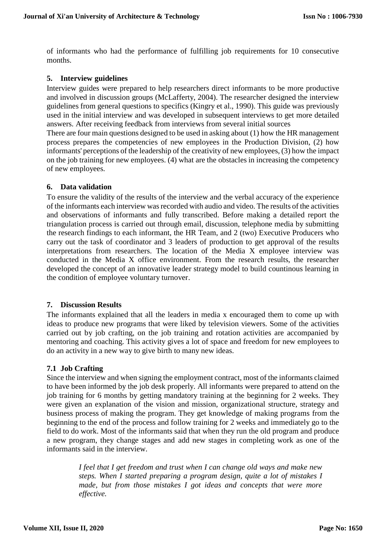of informants who had the performance of fulfilling job requirements for 10 consecutive months.

### **5. Interview guidelines**

Interview guides were prepared to help researchers direct informants to be more productive and involved in discussion groups (McLafferty, 2004). The researcher designed the interview guidelines from general questions to specifics (Kingry et al., 1990). This guide was previously used in the initial interview and was developed in subsequent interviews to get more detailed answers. After receiving feedback from interviews from several initial sources

There are four main questions designed to be used in asking about (1) how the HR management process prepares the competencies of new employees in the Production Division, (2) how informants' perceptions of the leadership of the creativity of new employees, (3) how the impact on the job training for new employees. (4) what are the obstacles in increasing the competency of new employees.

#### **6. Data validation**

To ensure the validity of the results of the interview and the verbal accuracy of the experience of the informants each interview was recorded with audio and video. The results of the activities and observations of informants and fully transcribed. Before making a detailed report the triangulation process is carried out through email, discussion, telephone media by submitting the research findings to each informant, the HR Team, and 2 (two) Executive Producers who carry out the task of coordinator and 3 leaders of production to get approval of the results interpretations from researchers. The location of the Media X employee interview was conducted in the Media X office environment. From the research results, the researcher developed the concept of an innovative leader strategy model to build countinous learning in the condition of employee voluntary turnover.

#### **7. Discussion Results**

The informants explained that all the leaders in media x encouraged them to come up with ideas to produce new programs that were liked by television viewers. Some of the activities carried out by job crafting, on the job training and rotation activities are accompanied by mentoring and coaching. This activity gives a lot of space and freedom for new employees to do an activity in a new way to give birth to many new ideas.

#### **7.1 Job Crafting**

Since the interview and when signing the employment contract, most of the informants claimed to have been informed by the job desk properly. All informants were prepared to attend on the job training for 6 months by getting mandatory training at the beginning for 2 weeks. They were given an explanation of the vision and mission, organizational structure, strategy and business process of making the program. They get knowledge of making programs from the beginning to the end of the process and follow training for 2 weeks and immediately go to the field to do work. Most of the informants said that when they run the old program and produce a new program, they change stages and add new stages in completing work as one of the informants said in the interview.

> *I feel that I get freedom and trust when I can change old ways and make new steps. When I started preparing a program design, quite a lot of mistakes I made, but from those mistakes I got ideas and concepts that were more effective.*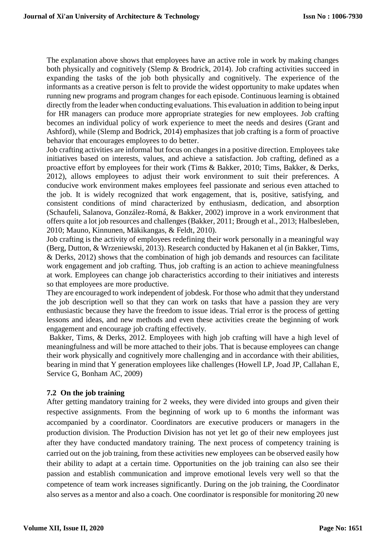The explanation above shows that employees have an active role in work by making changes both physically and cognitively (Slemp & Brodrick, 2014). Job crafting activities succeed in expanding the tasks of the job both physically and cognitively. The experience of the informants as a creative person is felt to provide the widest opportunity to make updates when running new programs and program changes for each episode. Continuous learning is obtained directly from the leader when conducting evaluations. This evaluation in addition to being input for HR managers can produce more appropriate strategies for new employees. Job crafting becomes an individual policy of work experience to meet the needs and desires (Grant and Ashford), while (Slemp and Bodrick, 2014) emphasizes that job crafting is a form of proactive behavior that encourages employees to do better.

Job crafting activities are informal but focus on changes in a positive direction. Employees take initiatives based on interests, values, and achieve a satisfaction. Job crafting, defined as a proactive effort by employees for their work (Tims & Bakker, 2010; Tims, Bakker, & Derks, 2012), allows employees to adjust their work environment to suit their preferences. A conducive work environment makes employees feel passionate and serious even attached to the job. It is widely recognized that work engagement, that is, positive, satisfying, and consistent conditions of mind characterized by enthusiasm, dedication, and absorption (Schaufeli, Salanova, González-Romá, & Bakker, 2002) improve in a work environment that offers quite a lot job resources and challenges (Bakker, 2011; Brough et al., 2013; Halbesleben, 2010; Mauno, Kinnunen, Mäkikangas, & Feldt, 2010).

Job crafting is the activity of employees redefining their work personally in a meaningful way (Berg, Dutton, & Wrzeniewski, 2013). Research conducted by Hakanen et al (in Bakker, Tims, & Derks, 2012) shows that the combination of high job demands and resources can facilitate work engagement and job crafting. Thus, job crafting is an action to achieve meaningfulness at work. Employees can change job characteristics according to their initiatives and interests so that employees are more productive.

They are encouraged to work independent of jobdesk. For those who admit that they understand the job description well so that they can work on tasks that have a passion they are very enthusiastic because they have the freedom to issue ideas. Trial error is the process of getting lessons and ideas, and new methods and even these activities create the beginning of work engagement and encourage job crafting effectively.

Bakker, Tims, & Derks, 2012. Employees with high job crafting will have a high level of meaningfulness and will be more attached to their jobs. That is because employees can change their work physically and cognitively more challenging and in accordance with their abilities, bearing in mind that Y generation employees like challenges (Howell LP, Joad JP, Callahan E, Service G, Bonham AC, 2009)

# **7.2 On the job training**

After getting mandatory training for 2 weeks, they were divided into groups and given their respective assignments. From the beginning of work up to 6 months the informant was accompanied by a coordinator. Coordinators are executive producers or managers in the production division. The Production Division has not yet let go of their new employees just after they have conducted mandatory training. The next process of competency training is carried out on the job training, from these activities new employees can be observed easily how their ability to adapt at a certain time. Opportunities on the job training can also see their passion and establish communication and improve emotional levels very well so that the competence of team work increases significantly. During on the job training, the Coordinator also serves as a mentor and also a coach. One coordinator is responsible for monitoring 20 new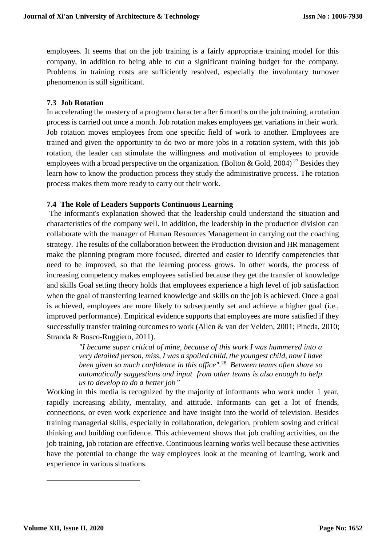employees. It seems that on the job training is a fairly appropriate training model for this company, in addition to being able to cut a significant training budget for the company. Problems in training costs are sufficiently resolved, especially the involuntary turnover phenomenon is still significant.

### **7.3 Job Rotation**

In accelerating the mastery of a program character after 6 months on the job training, a rotation process is carried out once a month. Job rotation makes employees get variations in their work. Job rotation moves employees from one specific field of work to another. Employees are trained and given the opportunity to do two or more jobs in a rotation system, with this job rotation, the leader can stimulate the willingness and motivation of employees to provide employees with a broad perspective on the organization. (Bolton & Gold, 2004)<sup>27</sup> Besides they learn how to know the production process they study the administrative process. The rotation process makes them more ready to carry out their work.

#### **7.4 The Role of Leaders Supports Continuous Learning**

The informant's explanation showed that the leadership could understand the situation and characteristics of the company well. In addition, the leadership in the production division can collaborate with the manager of Human Resources Management in carrying out the coaching strategy. The results of the collaboration between the Production division and HR management make the planning program more focused, directed and easier to identify competencies that need to be improved, so that the learning process grows. In other words, the process of increasing competency makes employees satisfied because they get the transfer of knowledge and skills Goal setting theory holds that employees experience a high level of job satisfaction when the goal of transferring learned knowledge and skills on the job is achieved. Once a goal is achieved, employees are more likely to subsequently set and achieve a higher goal (i.e., improved performance). Empirical evidence supports that employees are more satisfied if they successfully transfer training outcomes to work (Allen & van der Velden, 2001; Pineda, 2010; Stranda & Bosco-Ruggiero, 2011).

> *"I became super critical of mine, because of this work I was hammered into a very detailed person, miss, I was a spoiled child, the youngest child, now I have been given so much confidence in this office".*<sup>28</sup> *Between teams often share so automatically suggestions and input from other teams is also enough to help us to develop to do a better job"*

Working in this media is recognized by the majority of informants who work under 1 year, rapidly increasing ability, mentality, and attitude. Informants can get a lot of friends, connections, or even work experience and have insight into the world of television. Besides training managerial skills, especially in collaboration, delegation, problem soving and critical thinking and building confidence. This achievement shows that job crafting activities, on the job training, job rotation are effective. Continuous learning works well because these activities have the potential to change the way employees look at the meaning of learning, work and experience in various situations.

.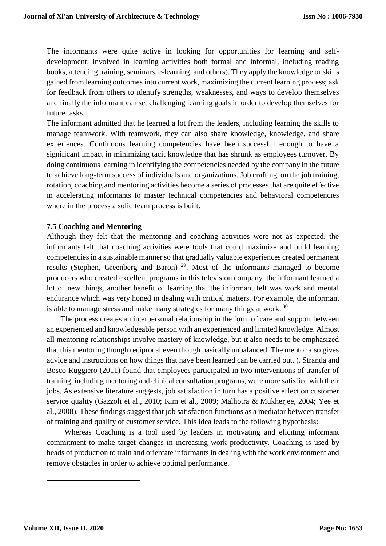The informants were quite active in looking for opportunities for learning and selfdevelopment; involved in learning activities both formal and informal, including reading books, attending training, seminars, e-learning, and others). They apply the knowledge or skills gained from learning outcomes into current work, maximizing the current learning process; ask for feedback from others to identify strengths, weaknesses, and ways to develop themselves and finally the informant can set challenging learning goals in order to develop themselves for future tasks.

The informant admitted that he learned a lot from the leaders, including learning the skills to manage teamwork. With teamwork, they can also share knowledge, knowledge, and share experiences. Continuous learning competencies have been successful enough to have a significant impact in minimizing tacit knowledge that has shrunk as employees turnover. By doing continuous learning in identifying the competencies needed by the company in the future to achieve long-term success of individuals and organizations. Job crafting, on the job training, rotation, coaching and mentoring activities become a series of processes that are quite effective in accelerating informants to master technical competencies and behavioral competencies where in the process a solid team process is built.

### **7.5 Coaching and Mentoring**

Although they felt that the mentoring and coaching activities were not as expected, the informants felt that coaching activities were tools that could maximize and build learning competencies in a sustainable manner so that gradually valuable experiences created permanent results (Stephen, Greenberg and Baron) <sup>29</sup>. Most of the informants managed to become producers who created excellent programs in this television company. the informant learned a lot of new things, another benefit of learning that the informant felt was work and mental endurance which was very honed in dealing with critical matters. For example, the informant is able to manage stress and make many strategies for many things at work.  $30$ 

The process creates an interpersonal relationship in the form of care and support between an experienced and knowledgeable person with an experienced and limited knowledge. Almost all mentoring relationships involve mastery of knowledge, but it also needs to be emphasized that this mentoring though reciprocal even though basically unbalanced. The mentor also gives advice and instructions on how things that have been learned can be carried out. ). Stranda and Bosco Ruggiero (2011) found that employees participated in two interventions of transfer of training, including mentoring and clinical consultation programs, were more satisfied with their jobs. As extensive literature suggests, job satisfaction in turn has a positive effect on customer service quality (Gazzoli et al., 2010; Kim et al., 2009; Malhotra & Mukherjee, 2004; Yee et al., 2008). These findings suggest that job satisfaction functions as a mediator between transfer of training and quality of customer service. This idea leads to the following hypothesis:

Whereas Coaching is a tool used by leaders in motivating and eliciting informant commitment to make target changes in increasing work productivity. Coaching is used by heads of production to train and orientate informants in dealing with the work environment and remove obstacles in order to achieve optimal performance.

.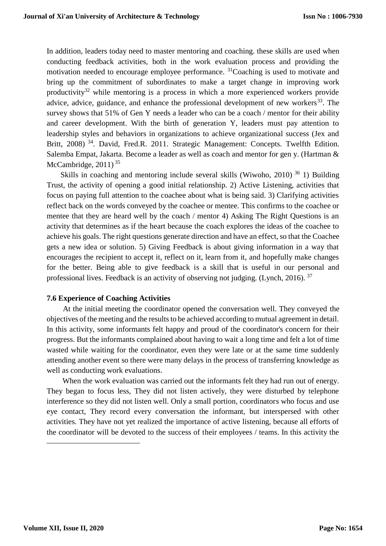In addition, leaders today need to master mentoring and coaching. these skills are used when conducting feedback activities, both in the work evaluation process and providing the motivation needed to encourage employee performance. <sup>31</sup>Coaching is used to motivate and bring up the commitment of subordinates to make a target change in improving work productivity<sup>32</sup> while mentoring is a process in which a more experienced workers provide advice, advice, guidance, and enhance the professional development of new workers<sup>33</sup>. The survey shows that 51% of Gen Y needs a leader who can be a coach / mentor for their ability and career development. With the birth of generation Y, leaders must pay attention to leadership styles and behaviors in organizations to achieve organizational success (Jex and Britt, 2008)<sup>34</sup>. David, Fred.R. 2011. Strategic Management: Concepts. Twelfth Edition. Salemba Empat, Jakarta. Become a leader as well as coach and mentor for gen y. (Hartman & McCambridge,  $2011$ )<sup>35</sup>

Skills in coaching and mentoring include several skills (Wiwoho, 2010)<sup>36</sup> 1) Building Trust, the activity of opening a good initial relationship. 2) Active Listening, activities that focus on paying full attention to the coachee about what is being said. 3) Clarifying activities reflect back on the words conveyed by the coachee or mentee. This confirms to the coachee or mentee that they are heard well by the coach / mentor 4) Asking The Right Questions is an activity that determines as if the heart because the coach explores the ideas of the coachee to achieve his goals. The right questions generate direction and have an effect, so that the Coachee gets a new idea or solution. 5) Giving Feedback is about giving information in a way that encourages the recipient to accept it, reflect on it, learn from it, and hopefully make changes for the better. Being able to give feedback is a skill that is useful in our personal and professional lives. Feedback is an activity of observing not judging. (Lynch, 2016). <sup>37</sup>

#### **7.6 Experience of Coaching Activities**

At the initial meeting the coordinator opened the conversation well. They conveyed the objectives of the meeting and the results to be achieved according to mutual agreement in detail. In this activity, some informants felt happy and proud of the coordinator's concern for their progress. But the informants complained about having to wait a long time and felt a lot of time wasted while waiting for the coordinator, even they were late or at the same time suddenly attending another event so there were many delays in the process of transferring knowledge as well as conducting work evaluations.

When the work evaluation was carried out the informants felt they had run out of energy. They began to focus less, They did not listen actively, they were disturbed by telephone interference so they did not listen well. Only a small portion, coordinators who focus and use eye contact, They record every conversation the informant, but interspersed with other activities. They have not yet realized the importance of active listening, because all efforts of the coordinator will be devoted to the success of their employees / teams. In this activity the

1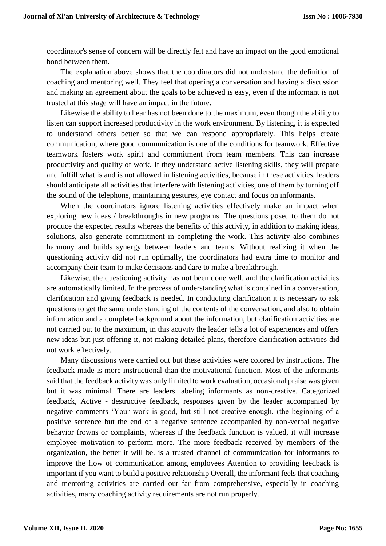coordinator's sense of concern will be directly felt and have an impact on the good emotional bond between them.

The explanation above shows that the coordinators did not understand the definition of coaching and mentoring well. They feel that opening a conversation and having a discussion and making an agreement about the goals to be achieved is easy, even if the informant is not trusted at this stage will have an impact in the future.

Likewise the ability to hear has not been done to the maximum, even though the ability to listen can support increased productivity in the work environment. By listening, it is expected to understand others better so that we can respond appropriately. This helps create communication, where good communication is one of the conditions for teamwork. Effective teamwork fosters work spirit and commitment from team members. This can increase productivity and quality of work. If they understand active listening skills, they will prepare and fulfill what is and is not allowed in listening activities, because in these activities, leaders should anticipate all activities that interfere with listening activities, one of them by turning off the sound of the telephone, maintaining gestures, eye contact and focus on informants.

When the coordinators ignore listening activities effectively make an impact when exploring new ideas / breakthroughs in new programs. The questions posed to them do not produce the expected results whereas the benefits of this activity, in addition to making ideas, solutions, also generate commitment in completing the work. This activity also combines harmony and builds synergy between leaders and teams. Without realizing it when the questioning activity did not run optimally, the coordinators had extra time to monitor and accompany their team to make decisions and dare to make a breakthrough.

Likewise, the questioning activity has not been done well, and the clarification activities are automatically limited. In the process of understanding what is contained in a conversation, clarification and giving feedback is needed. In conducting clarification it is necessary to ask questions to get the same understanding of the contents of the conversation, and also to obtain information and a complete background about the information, but clarification activities are not carried out to the maximum, in this activity the leader tells a lot of experiences and offers new ideas but just offering it, not making detailed plans, therefore clarification activities did not work effectively.

Many discussions were carried out but these activities were colored by instructions. The feedback made is more instructional than the motivational function. Most of the informants said that the feedback activity was only limited to work evaluation, occasional praise was given but it was minimal. There are leaders labeling informants as non-creative. Categorized feedback, Active - destructive feedback, responses given by the leader accompanied by negative comments 'Your work is good, but still not creative enough. (the beginning of a positive sentence but the end of a negative sentence accompanied by non-verbal negative behavior frowns or complaints, whereas if the feedback function is valued, it will increase employee motivation to perform more. The more feedback received by members of the organization, the better it will be. is a trusted channel of communication for informants to improve the flow of communication among employees Attention to providing feedback is important if you want to build a positive relationship Overall, the informant feels that coaching and mentoring activities are carried out far from comprehensive, especially in coaching activities, many coaching activity requirements are not run properly.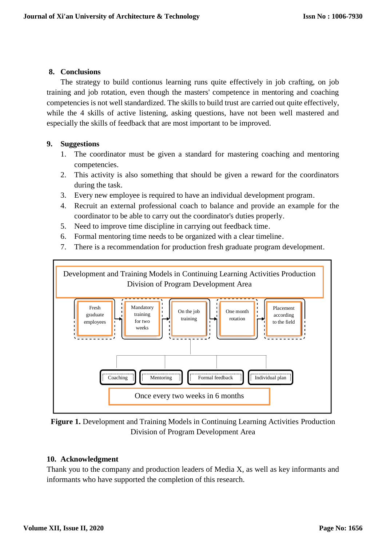## **8. Conclusions**

The strategy to build contionus learning runs quite effectively in job crafting, on job training and job rotation, even though the masters' competence in mentoring and coaching competencies is not well standardized. The skills to build trust are carried out quite effectively, while the 4 skills of active listening, asking questions, have not been well mastered and especially the skills of feedback that are most important to be improved.

### **9. Suggestions**

- 1. The coordinator must be given a standard for mastering coaching and mentoring competencies.
- 2. This activity is also something that should be given a reward for the coordinators during the task.
- 3. Every new employee is required to have an individual development program.
- 4. Recruit an external professional coach to balance and provide an example for the coordinator to be able to carry out the coordinator's duties properly.
- 5. Need to improve time discipline in carrying out feedback time.
- 6. Formal mentoring time needs to be organized with a clear timeline.
- 7. There is a recommendation for production fresh graduate program development.



**Figure 1.** Development and Training Models in Continuing Learning Activities Production Division of Program Development Area

# **10. Acknowledgment**

Thank you to the company and production leaders of Media X, as well as key informants and informants who have supported the completion of this research.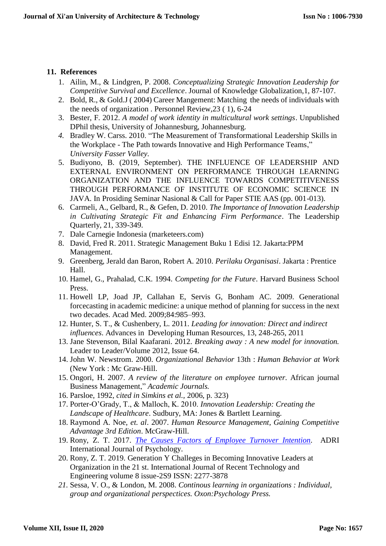### **11. References**

- 1. Ailin, M., & Lindgren, P. 2008. *Conceptualizing Strategic Innovation Leadership for Competitive Survival and Excellence*. Journal of Knowledge Globalization,1, 87-107.
- 2. Bold, R., & Gold.J ( 2004) Career Mangement: Matching the needs of individuals with the needs of organization . Personnel Review,23 ( 1), 6-24
- 3. Bester, F. 2012. *A model of work identity in multicultural work settings*. Unpublished DPhil thesis, University of Johannesburg, Johannesburg.
- *4.* Bradley W. Carss. 2010. "The Measurement of Transformational Leadership Skills in the Workplace - The Path towards Innovative and High Performance Teams," *University Fasser Valley.*
- 5. Budiyono, B. (2019, September). THE INFLUENCE OF LEADERSHIP AND EXTERNAL ENVIRONMENT ON PERFORMANCE THROUGH LEARNING ORGANIZATION AND THE INFLUENCE TOWARDS COMPETITIVENESS THROUGH PERFORMANCE OF INSTITUTE OF ECONOMIC SCIENCE IN JAVA. In Prosiding Seminar Nasional & Call for Paper STIE AAS (pp. 001-013).
- 6. Carmeli, A., Gelbard, R., & Gefen, D. 2010. *The Importance of Innovation Leadership in Cultivating Strategic Fit and Enhancing Firm Performance*. The Leadership Quarterly, 21, 339-349.
- 7. Dale Carnegie Indonesia (marketeers.com)
- 8. David, Fred R. 2011. Strategic Management Buku 1 Edisi 12. Jakarta:PPM Management.
- 9. Greenberg, Jerald dan Baron, Robert A. 2010. *Perilaku Organisasi*. Jakarta : Prentice Hall.
- 10. Hamel, G., Prahalad, C.K. 1994. *Competing for the Future*. Harvard Business School Press.
- 11. Howell LP, Joad JP, Callahan E, Servis G, Bonham AC. 2009. Generational forcecasting in academic medicine: a unique method of planning for success in the next two decades. Acad Med. 2009;84:985–993.
- 12. Hunter, S. T., & Cushenbery, L. 2011. *Leading for innovation: Direct and indirect influences*. Advances in Developing Human Resources, 13, 248-265, 2011
- 13. Jane Stevenson, Bilal Kaafarani. 2012. *Breaking away : A new model for innovation.*  Leader to Leader/Volume 2012, Issue 64.
- 14. John W. Newstrom. 2000. *Organizational Behavior* 13th : *Human Behavior at Work* (New York : Mc Graw-Hill.
- 15. Ongori, H. 2007. *A review of the literature on employee turnover.* African journal Business Management," *Academic Journals.*
- 16. Parsloe, 1992*, cited in Simkins et al.,* 2006, p. 323)
- 17. Porter-O'Grady, T., & Malloch, K. 2010. *Innovation Leadership: Creating the Landscape of Healthcare*. Sudbury, MA: Jones & Bartlett Learning.
- 18. Raymond A. Noe, *et. al*. 2007. *Human Resource Management, Gaining Competitive Advantage 3rd Edition*. McGraw-Hill.
- 19. Rony, Z. T. 2017. *[The Causes Factors of Employee Turnover Intention.](https://scholar.google.com/scholar?oi=bibs&cluster=16480488645002144261&btnI=1&hl=en)* ADRI International Journal of Psychology.
- 20. Rony, Z. T. 2019. Generation Y Challeges in Becoming Innovative Leaders at Organization in the 21 st. International Journal of Recent Technology and Engineering volume 8 issue-2S9 ISSN: 2277-3878
- *21.* Sessa, V. O., & London, M. 2008. *Continous learning in organizations : Individual, group and organizational perspectices. Oxon:Psychology Press.*